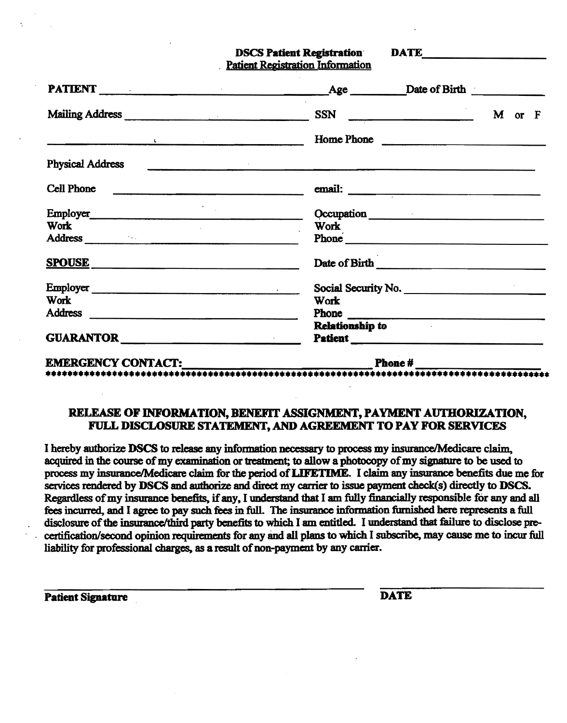DSCS Patient Registration DATE **Patient Registration Information** 

PA11ENT \_\_\_\_\_\_\_\_\_\_\_\_\_\_\_\_\_\_\_\_\_\_\_\_\_\_\_\_\_\_~~e \_\_\_\_\_\_~~ofBmh \_\_\_\_\_\_\_\_\_\_ Mailing Address \_\_\_\_\_\_\_\_\_\_\_\_\_\_\_ SSN <sup>M</sup>or <sup>F</sup> Home Phone  $\label{eq:2.1} \mathbf{E}(\mathbf{r}) = \mathbf{r} \cdot \mathbf{r} + \mathbf{r} \cdot \mathbf{r} + \mathbf{r} \cdot \mathbf{r} + \mathbf{r} \cdot \mathbf{r} + \mathbf{r} \cdot \mathbf{r} + \mathbf{r} \cdot \mathbf{r} + \mathbf{r} \cdot \mathbf{r} + \mathbf{r} \cdot \mathbf{r} + \mathbf{r} \cdot \mathbf{r} + \mathbf{r} \cdot \mathbf{r} + \mathbf{r} \cdot \mathbf{r} + \mathbf{r} \cdot \mathbf{r} + \mathbf{r} \cdot \mathbf{r} + \mathbf$  $\label{eq:2.1} \frac{1}{2} \sum_{i=1}^n \frac{1}{2} \sum_{j=1}^n \frac{1}{2} \sum_{j=1}^n \frac{1}{2} \sum_{j=1}^n \frac{1}{2} \sum_{j=1}^n \frac{1}{2} \sum_{j=1}^n \frac{1}{2} \sum_{j=1}^n \frac{1}{2} \sum_{j=1}^n \frac{1}{2} \sum_{j=1}^n \frac{1}{2} \sum_{j=1}^n \frac{1}{2} \sum_{j=1}^n \frac{1}{2} \sum_{j=1}^n \frac{1}{2} \sum_{j=1}^n \frac{$ Physical Address Cell Phone **email:**  $\frac{1}{2}$  email: Em~o~\_\_\_\_\_\_\_\_\_\_\_\_\_\_\_\_\_\_\_\_\_\_\_\_\_\_\_\_\_ Qccupation Occupation Work<br>Phone Address and the contract of the contract of the contract of the contract of the contract of the contract of the contract of the contract of the contract of the contract of the contract of the contract of the contract of th SPOUSE Date of Birth Date of Birth Employer \_\_\_\_\_\_\_\_\_\_\_\_\_\_\_\_\_\_\_\_.:...-\_ Social Security No. \_\_\_\_\_\_\_\_\_\_\_\_\_\_\_\_\_\_ Work Work Address <u>where the set of the set of the set of the set of the set of the set of the set of the set of the set of the set of the set of the set of the set of the set of the set of the set of the set of the set of</u> GUARANTOR **External Patient** •••••••••••••••••••••••••••••••••••••••••••••••••••••••••••••••••••••••••••••••••••••••••• EMERGENCYCONTACT:.~~~~~~~~~~~~~PhoDe#~~~~~~~~

## RELEASE OF INFORMATION, BENEFIT ASSIGNMENT, PAYMENT AUTHORIZATION, FULL DISCLOSURE STATEMENT,AND AGREEMENT TO PAY FOR SERVICES

I hereby authorize DSCS to release any information necessary to process my insurance/Medicare claim. acquired in the course of my examination or treatment; to allow a photocopy of my signature to be used to process my insurance/Medicare claim for the period of LIFETIME. I claim any insurance benefits due me for services rendered by DSCS and authorize and direct my carrier to issue payment check(s) directly to DSCS. Regardless of my insurance benefits, if any, I understand that I am fully financially responsible for any and all fees incurred, and I agree to pay such fees in full. The insurance information furnished here represents a full disclosure of the insurance/third party benefits to which I am entitled. I understand that failure to disclose precertification/second opinion requirements for any and all plans to which I subscribe, may cause me to incur full liability for professional charges, as a result of non-payment by any carrier.

Patient Signature DATE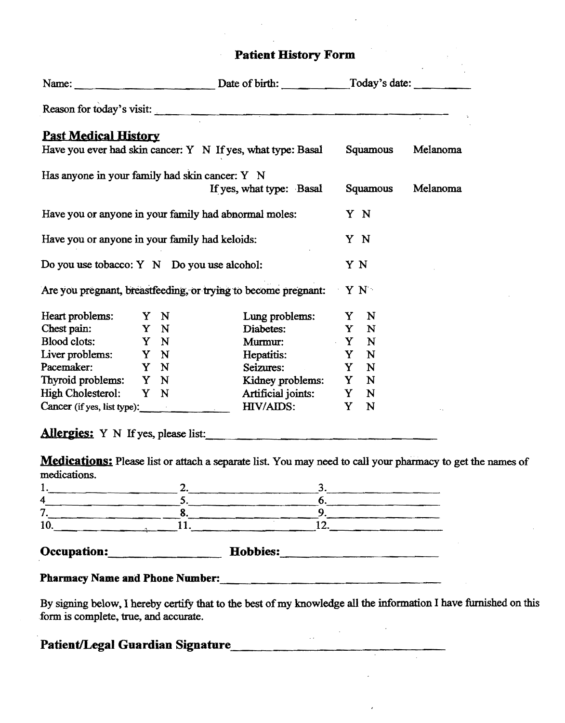|                                                                |  |  |  | Name: Date of birth: Today's date:                          |     |          |          |
|----------------------------------------------------------------|--|--|--|-------------------------------------------------------------|-----|----------|----------|
|                                                                |  |  |  | Reason for today's visit:                                   |     |          |          |
| <b>Past Medical History</b>                                    |  |  |  | Have you ever had skin cancer: Y N If yes, what type: Basal |     | Squamous | Melanoma |
| Has anyone in your family had skin cancer: Y N                 |  |  |  | If yes, what type: Basal                                    |     | Squamous | Melanoma |
| Have you or anyone in your family had abnormal moles:          |  |  |  |                                                             | Y N |          |          |
| Have you or anyone in your family had keloids:                 |  |  |  |                                                             | Y N |          |          |
| Do you use tobacco: Y N Do you use alcohol:                    |  |  |  |                                                             | Y N |          |          |
| Are you pregnant, breastfeeding, or trying to become pregnant: |  |  |  |                                                             |     | $Y N^*$  |          |
| Heart problems: Y N                                            |  |  |  | Lung problems: Y N                                          |     |          |          |
| Chest pain: Y N                                                |  |  |  | Diabetes: Y N                                               |     |          |          |
| Blood clots: Y N                                               |  |  |  | Murmur: Y N                                                 |     |          |          |
| Liver problems: Y N                                            |  |  |  | Hepatitis: Y N                                              |     |          |          |
| Pacemaker: Y N                                                 |  |  |  | Seizures: Y N                                               |     |          |          |
| Thyroid problems: Y N                                          |  |  |  | Kidney problems: Y N                                        |     |          |          |
| High Cholesterol: Y N                                          |  |  |  | Artificial joints: Y N                                      |     |          |          |
| Cancer (if yes, list type):                                    |  |  |  | HIV/AIDS:                                                   |     | Y N      |          |

**AIIer&ies:** Y N Ifyes, please list: \_\_\_\_\_\_ \_\_\_\_\_\_\_\_\_\_\_

**Medications:** Please list or attach a separate list. You may need to call your pharmacy to get the names of medications. 1.,\_\_\_\_\_\_\_\_\_\_2.\_\_\_\_\_\_\_\_\_\_3.\_\_\_\_\_\_\_\_

|                                        | 2. | 3.                                                                                                               |  |  |  |
|----------------------------------------|----|------------------------------------------------------------------------------------------------------------------|--|--|--|
| 4                                      |    | O.                                                                                                               |  |  |  |
| 7                                      |    | 9.                                                                                                               |  |  |  |
| 10.                                    |    | 12.                                                                                                              |  |  |  |
| <b>Occupation:</b>                     |    | Hobbies:                                                                                                         |  |  |  |
| <b>Pharmacy Name and Phone Number:</b> |    |                                                                                                                  |  |  |  |
| form is complete, true, and accurate.  |    | By signing below, I hereby certify that to the best of my knowledge all the information I have furnished on this |  |  |  |

| Patient/Legal Guardian Signature |  |
|----------------------------------|--|